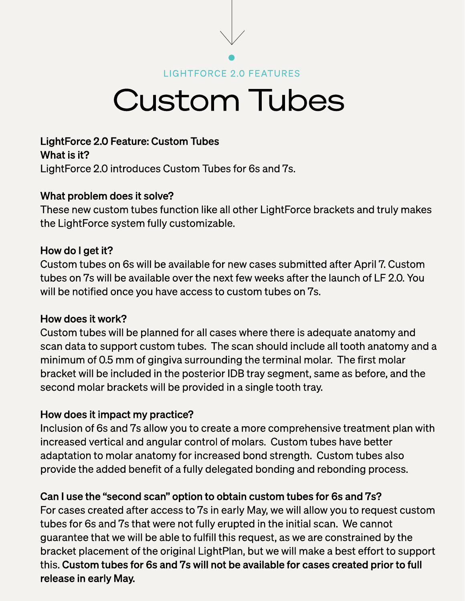LIGHTFORCE 2.0 FEATURES

## Custom Tubes

LightForce 2.0 Feature: Custom Tubes What is it? LightForce 2.0 introduces Custom Tubes for 6s and 7s.

### What problem does it solve?

These new custom tubes function like all other LightForce brackets and truly makes the LightForce system fully customizable.

### How do I get it?

Custom tubes on 6s will be available for new cases submitted after April 7. Custom tubes on 7s will be available over the next few weeks after the launch of LF 2.0. You will be notified once you have access to custom tubes on 7s.

#### How does it work?

Custom tubes will be planned for all cases where there is adequate anatomy and scan data to support custom tubes. The scan should include all tooth anatomy and a minimum of 0.5 mm of gingiva surrounding the terminal molar. The first molar bracket will be included in the posterior IDB tray segment, same as before, and the second molar brackets will be provided in a single tooth tray.

### How does it impact my practice?

Inclusion of 6s and 7s allow you to create a more comprehensive treatment plan with increased vertical and angular control of molars. Custom tubes have better adaptation to molar anatomy for increased bond strength. Custom tubes also provide the added benefit of a fully delegated bonding and rebonding process.

## Can I use the "second scan" option to obtain custom tubes for 6s and 7s?

For cases created after access to 7s in early May, we will allow you to request custom tubes for 6s and 7s that were not fully erupted in the initial scan. We cannot guarantee that we will be able to fulfill this request, as we are constrained by the bracket placement of the original LightPlan, but we will make a best effort to support this. Custom tubes for 6s and 7s will not be available for cases created prior to full release in early May.